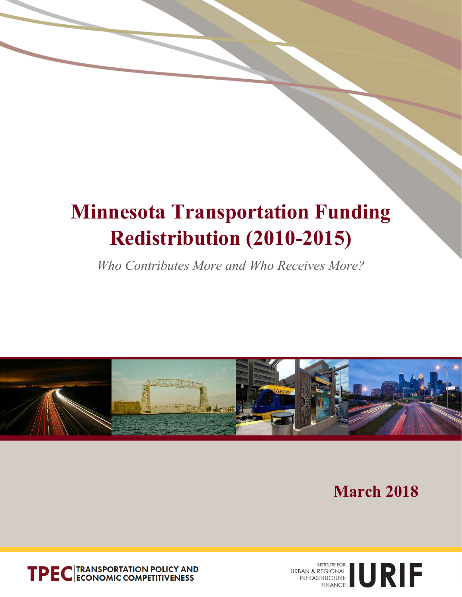# **Minnesota Transportation Funding Redistribution (2010-2015)**

*Who Contributes More and Who Receives More?*



 **March 2018**



URBAN & REGIONAL NEWSTITUTE FOR AN AREGIONAL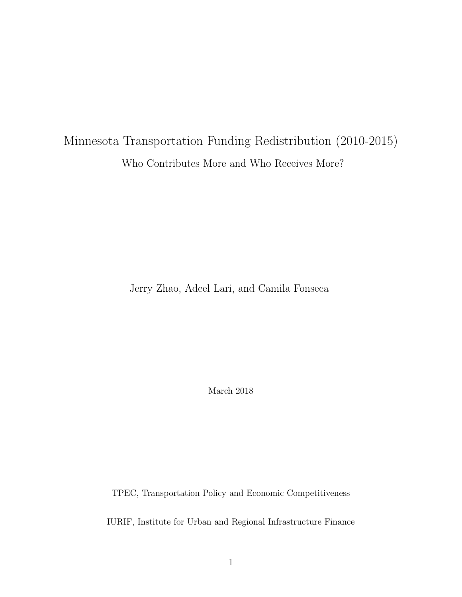# Minnesota Transportation Funding Redistribution (2010-2015) Who Contributes More and Who Receives More?

Jerry Zhao, Adeel Lari, and Camila Fonseca

March 2018

TPEC, Transportation Policy and Economic Competitiveness

IURIF, Institute for Urban and Regional Infrastructure Finance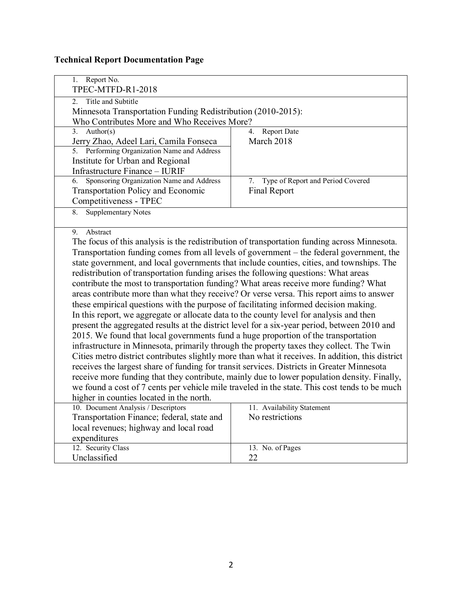#### **Technical Report Documentation Page**

| Report No.<br>1.<br>TPEC-MTFD-R1-2018                                                                |                                                                                                   |  |  |  |  |
|------------------------------------------------------------------------------------------------------|---------------------------------------------------------------------------------------------------|--|--|--|--|
|                                                                                                      |                                                                                                   |  |  |  |  |
| Title and Subtitle<br>$\overline{2}$<br>Minnesota Transportation Funding Redistribution (2010-2015): |                                                                                                   |  |  |  |  |
| Who Contributes More and Who Receives More?                                                          |                                                                                                   |  |  |  |  |
| Author( $s$ )<br>3.                                                                                  | Report Date<br>$\overline{4}$                                                                     |  |  |  |  |
| Jerry Zhao, Adeel Lari, Camila Fonseca                                                               | March 2018                                                                                        |  |  |  |  |
| Performing Organization Name and Address<br>5.                                                       |                                                                                                   |  |  |  |  |
| Institute for Urban and Regional                                                                     |                                                                                                   |  |  |  |  |
| Infrastructure Finance - IURIF                                                                       |                                                                                                   |  |  |  |  |
| Sponsoring Organization Name and Address<br>6.                                                       | Type of Report and Period Covered<br>7.                                                           |  |  |  |  |
| <b>Transportation Policy and Economic</b>                                                            | Final Report                                                                                      |  |  |  |  |
| Competitiveness - TPEC                                                                               |                                                                                                   |  |  |  |  |
| <b>Supplementary Notes</b><br>8.                                                                     |                                                                                                   |  |  |  |  |
|                                                                                                      |                                                                                                   |  |  |  |  |
| Abstract<br>9.                                                                                       |                                                                                                   |  |  |  |  |
|                                                                                                      | The focus of this analysis is the redistribution of transportation funding across Minnesota.      |  |  |  |  |
|                                                                                                      | Transportation funding comes from all levels of government – the federal government, the          |  |  |  |  |
|                                                                                                      | state government, and local governments that include counties, cities, and townships. The         |  |  |  |  |
| redistribution of transportation funding arises the following questions: What areas                  |                                                                                                   |  |  |  |  |
| contribute the most to transportation funding? What areas receive more funding? What                 |                                                                                                   |  |  |  |  |
|                                                                                                      | areas contribute more than what they receive? Or verse versa. This report aims to answer          |  |  |  |  |
| these empirical questions with the purpose of facilitating informed decision making.                 |                                                                                                   |  |  |  |  |
| In this report, we aggregate or allocate data to the county level for analysis and then              |                                                                                                   |  |  |  |  |
|                                                                                                      | present the aggregated results at the district level for a six-year period, between 2010 and      |  |  |  |  |
| 2015. We found that local governments fund a huge proportion of the transportation                   |                                                                                                   |  |  |  |  |
|                                                                                                      | infrastructure in Minnesota, primarily through the property taxes they collect. The Twin          |  |  |  |  |
|                                                                                                      | Cities metro district contributes slightly more than what it receives. In addition, this district |  |  |  |  |
| receives the largest share of funding for transit services. Districts in Greater Minnesota           |                                                                                                   |  |  |  |  |
|                                                                                                      | receive more funding that they contribute, mainly due to lower population density. Finally,       |  |  |  |  |
|                                                                                                      | we found a cost of 7 cents per vehicle mile traveled in the state. This cost tends to be much     |  |  |  |  |
| higher in counties located in the north.                                                             |                                                                                                   |  |  |  |  |
| 10. Document Analysis / Descriptors                                                                  | 11. Availability Statement                                                                        |  |  |  |  |
| Transportation Finance; federal, state and                                                           | No restrictions                                                                                   |  |  |  |  |
| local revenues; highway and local road                                                               |                                                                                                   |  |  |  |  |
| expenditures                                                                                         |                                                                                                   |  |  |  |  |
| 12. Security Class                                                                                   | 13. No. of Pages                                                                                  |  |  |  |  |
| Unclassified                                                                                         | 22                                                                                                |  |  |  |  |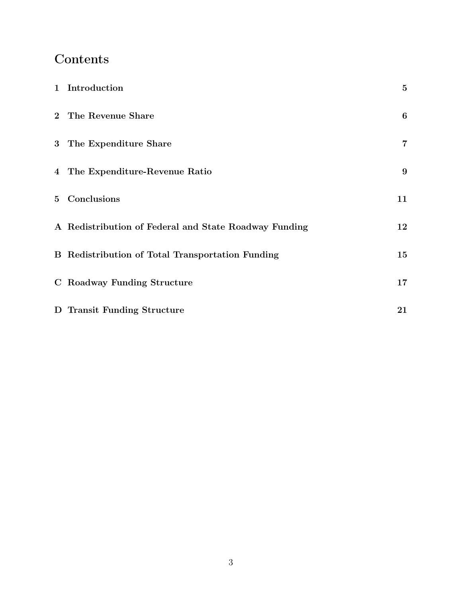# Contents

| 1 Introduction                                          | $\overline{5}$   |
|---------------------------------------------------------|------------------|
| 2 The Revenue Share                                     | $\boldsymbol{6}$ |
| 3 The Expenditure Share                                 | $\overline{7}$   |
| 4 The Expenditure-Revenue Ratio                         | 9                |
| 5 Conclusions                                           | 11               |
| A Redistribution of Federal and State Roadway Funding   | 12               |
| <b>B</b> Redistribution of Total Transportation Funding | 15               |
| C Roadway Funding Structure                             | 17               |
| D Transit Funding Structure                             | 21               |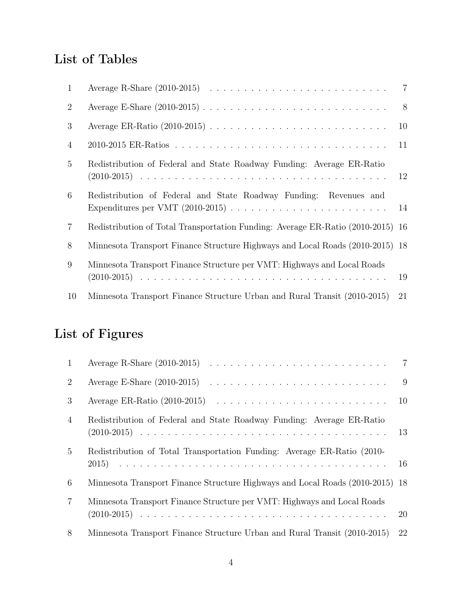# List of Tables

| $\mathbf{1}$    |                                                                                 |     |
|-----------------|---------------------------------------------------------------------------------|-----|
| $\overline{2}$  |                                                                                 | - 8 |
| 3               |                                                                                 | 10  |
| $\overline{4}$  |                                                                                 | 11  |
| $5\overline{)}$ | Redistribution of Federal and State Roadway Funding: Average ER-Ratio           | 12  |
| 6               | Redistribution of Federal and State Roadway Funding: Revenues and               | 14  |
| $\overline{7}$  | Redistribution of Total Transportation Funding: Average ER-Ratio (2010-2015) 16 |     |
| 8               | Minnesota Transport Finance Structure Highways and Local Roads (2010-2015) 18   |     |
| 9               | Minnesota Transport Finance Structure per VMT: Highways and Local Roads         | 19  |
| 10              | Minnesota Transport Finance Structure Urban and Rural Transit (2010-2015)       | 21  |

# List of Figures

| 1              |                                                                               | $\overline{7}$ |
|----------------|-------------------------------------------------------------------------------|----------------|
| 2              |                                                                               | 9              |
| 3              |                                                                               |                |
| $\overline{4}$ | Redistribution of Federal and State Roadway Funding: Average ER-Ratio         | 13             |
| $5^{\circ}$    | Redistribution of Total Transportation Funding: Average ER-Ratio (2010-       | 16             |
| 6              | Minnesota Transport Finance Structure Highways and Local Roads (2010-2015) 18 |                |
| 7              | Minnesota Transport Finance Structure per VMT: Highways and Local Roads       | 20             |
| 8              | Minnesota Transport Finance Structure Urban and Rural Transit (2010-2015)     | 22             |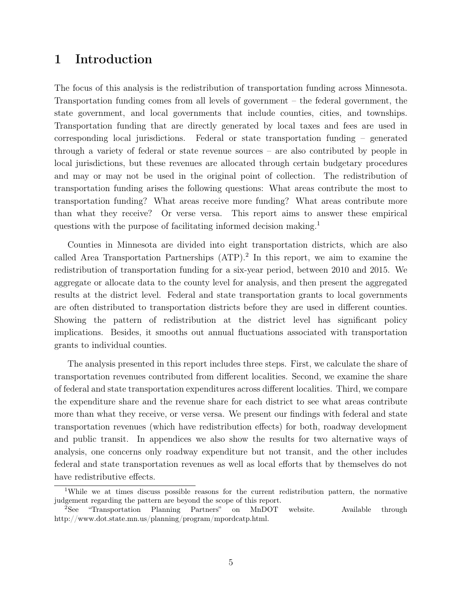#### 1 Introduction

The focus of this analysis is the redistribution of transportation funding across Minnesota. Transportation funding comes from all levels of government – the federal government, the state government, and local governments that include counties, cities, and townships. Transportation funding that are directly generated by local taxes and fees are used in corresponding local jurisdictions. Federal or state transportation funding – generated through a variety of federal or state revenue sources – are also contributed by people in local jurisdictions, but these revenues are allocated through certain budgetary procedures and may or may not be used in the original point of collection. The redistribution of transportation funding arises the following questions: What areas contribute the most to transportation funding? What areas receive more funding? What areas contribute more than what they receive? Or verse versa. This report aims to answer these empirical questions with the purpose of facilitating informed decision making.<sup>1</sup>

Counties in Minnesota are divided into eight transportation districts, which are also called Area Transportation Partnerships (ATP).<sup>2</sup> In this report, we aim to examine the redistribution of transportation funding for a six-year period, between 2010 and 2015. We aggregate or allocate data to the county level for analysis, and then present the aggregated results at the district level. Federal and state transportation grants to local governments are often distributed to transportation districts before they are used in different counties. Showing the pattern of redistribution at the district level has significant policy implications. Besides, it smooths out annual fluctuations associated with transportation grants to individual counties.

The analysis presented in this report includes three steps. First, we calculate the share of transportation revenues contributed from different localities. Second, we examine the share of federal and state transportation expenditures across different localities. Third, we compare the expenditure share and the revenue share for each district to see what areas contribute more than what they receive, or verse versa. We present our findings with federal and state transportation revenues (which have redistribution effects) for both, roadway development and public transit. In appendices we also show the results for two alternative ways of analysis, one concerns only roadway expenditure but not transit, and the other includes federal and state transportation revenues as well as local efforts that by themselves do not have redistributive effects.

<sup>1</sup>While we at times discuss possible reasons for the current redistribution pattern, the normative judgement regarding the pattern are beyond the scope of this report.

<sup>2</sup>See "Transportation Planning Partners" on MnDOT website. Available through http://www.dot.state.mn.us/planning/program/mpordcatp.html.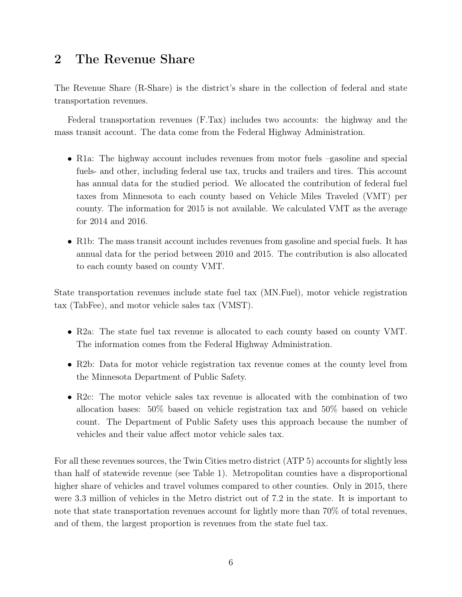#### 2 The Revenue Share

The Revenue Share (R-Share) is the district's share in the collection of federal and state transportation revenues.

Federal transportation revenues (F.Tax) includes two accounts: the highway and the mass transit account. The data come from the Federal Highway Administration.

- *•* R1a: The highway account includes revenues from motor fuels –gasoline and special fuels- and other, including federal use tax, trucks and trailers and tires. This account has annual data for the studied period. We allocated the contribution of federal fuel taxes from Minnesota to each county based on Vehicle Miles Traveled (VMT) per county. The information for 2015 is not available. We calculated VMT as the average for 2014 and 2016.
- *•* R1b: The mass transit account includes revenues from gasoline and special fuels. It has annual data for the period between 2010 and 2015. The contribution is also allocated to each county based on county VMT.

State transportation revenues include state fuel tax (MN.Fuel), motor vehicle registration tax (TabFee), and motor vehicle sales tax (VMST).

- R2a: The state fuel tax revenue is allocated to each county based on county VMT. The information comes from the Federal Highway Administration.
- R2b: Data for motor vehicle registration tax revenue comes at the county level from the Minnesota Department of Public Safety.
- R2c: The motor vehicle sales tax revenue is allocated with the combination of two allocation bases: 50% based on vehicle registration tax and 50% based on vehicle count. The Department of Public Safety uses this approach because the number of vehicles and their value affect motor vehicle sales tax.

For all these revenues sources, the Twin Cities metro district (ATP 5) accounts for slightly less than half of statewide revenue (see Table 1). Metropolitan counties have a disproportional higher share of vehicles and travel volumes compared to other counties. Only in 2015, there were 3.3 million of vehicles in the Metro district out of 7.2 in the state. It is important to note that state transportation revenues account for lightly more than 70% of total revenues, and of them, the largest proportion is revenues from the state fuel tax.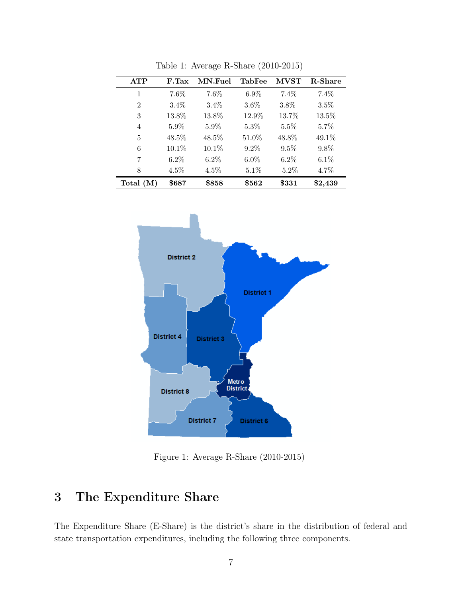| <b>ATP</b>     | F.Tax   | MN.Fuel | <b>TabFee</b> | <b>MVST</b> | R-Share |
|----------------|---------|---------|---------------|-------------|---------|
| 1              | 7.6%    | 7.6%    | $6.9\%$       | 7.4%        | 7.4%    |
| $\overline{2}$ | 3.4%    | $3.4\%$ | $3.6\%$       | $3.8\%$     | $3.5\%$ |
| 3              | 13.8%   | 13.8%   | 12.9%         | 13.7%       | 13.5%   |
| $\overline{4}$ | 5.9%    | $5.9\%$ | $5.3\%$       | $5.5\%$     | $5.7\%$ |
| 5              | 48.5%   | 48.5%   | 51.0%         | 48.8%       | 49.1%   |
| 6              | 10.1%   | 10.1%   | $9.2\%$       | $9.5\%$     | 9.8%    |
| 7              | $6.2\%$ | $6.2\%$ | $6.0\%$       | $6.2\%$     | $6.1\%$ |
| 8              | 4.5%    | 4.5%    | 5.1%          | 5.2%        | 4.7%    |
| Total $(M)$    | \$687   | \$858   | \$562         | \$331       | \$2,439 |

Table 1: Average R-Share (2010-2015)



Figure 1: Average R-Share (2010-2015)

# 3 The Expenditure Share

The Expenditure Share (E-Share) is the district's share in the distribution of federal and state transportation expenditures, including the following three components.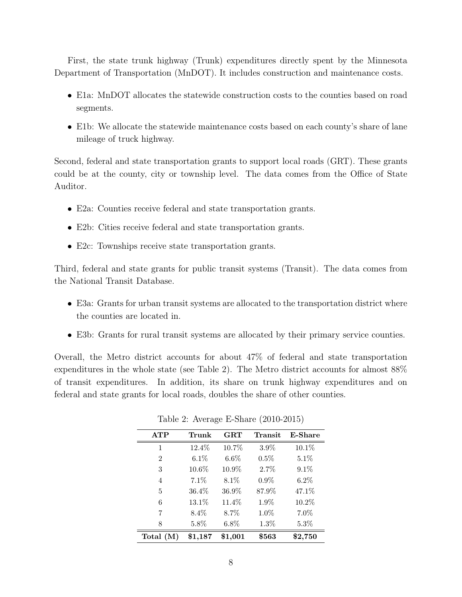First, the state trunk highway (Trunk) expenditures directly spent by the Minnesota Department of Transportation (MnDOT). It includes construction and maintenance costs.

- E1a: MnDOT allocates the statewide construction costs to the counties based on road segments.
- E1b: We allocate the statewide maintenance costs based on each county's share of lane mileage of truck highway.

Second, federal and state transportation grants to support local roads (GRT). These grants could be at the county, city or township level. The data comes from the Office of State Auditor.

- *•* E2a: Counties receive federal and state transportation grants.
- *•* E2b: Cities receive federal and state transportation grants.
- E2c: Townships receive state transportation grants.

Third, federal and state grants for public transit systems (Transit). The data comes from the National Transit Database.

- E3a: Grants for urban transit systems are allocated to the transportation district where the counties are located in.
- E3b: Grants for rural transit systems are allocated by their primary service counties.

Overall, the Metro district accounts for about 47% of federal and state transportation expenditures in the whole state (see Table 2). The Metro district accounts for almost 88% of transit expenditures. In addition, its share on trunk highway expenditures and on federal and state grants for local roads, doubles the share of other counties.

| <b>ATP</b>     | Trunk    | GRT     | Transit | <b>E-Share</b> |
|----------------|----------|---------|---------|----------------|
| $\mathbf{1}$   | 12.4%    | 10.7%   | $3.9\%$ | 10.1%          |
| $\overline{2}$ | $6.1\%$  | $6.6\%$ | 0.5%    | 5.1%           |
| 3              | $10.6\%$ | 10.9%   | 2.7%    | $9.1\%$        |
| 4              | 7.1%     | $8.1\%$ | $0.9\%$ | $6.2\%$        |
| 5              | 36.4%    | 36.9%   | 87.9%   | 47.1%          |
| 6              | 13.1%    | 11.4%   | $1.9\%$ | 10.2%          |
| 7              | $8.4\%$  | 8.7%    | $1.0\%$ | $7.0\%$        |
| 8              | 5.8%     | $6.8\%$ | 1.3%    | $5.3\%$        |
| Total $(M)$    | \$1,187  | \$1,001 | \$563   | $\$2,750$      |

Table 2: Average E-Share (2010-2015)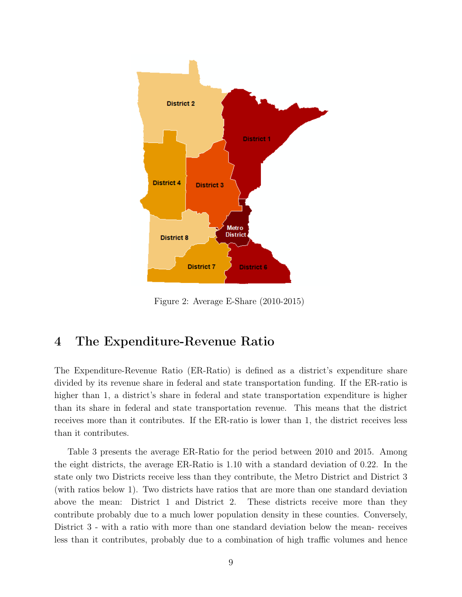

Figure 2: Average E-Share (2010-2015)

#### 4 The Expenditure-Revenue Ratio

The Expenditure-Revenue Ratio (ER-Ratio) is defined as a district's expenditure share divided by its revenue share in federal and state transportation funding. If the ER-ratio is higher than 1, a district's share in federal and state transportation expenditure is higher than its share in federal and state transportation revenue. This means that the district receives more than it contributes. If the ER-ratio is lower than 1, the district receives less than it contributes.

Table 3 presents the average ER-Ratio for the period between 2010 and 2015. Among the eight districts, the average ER-Ratio is 1.10 with a standard deviation of 0.22. In the state only two Districts receive less than they contribute, the Metro District and District 3 (with ratios below 1). Two districts have ratios that are more than one standard deviation above the mean: District 1 and District 2. These districts receive more than they contribute probably due to a much lower population density in these counties. Conversely, District 3 - with a ratio with more than one standard deviation below the mean- receives less than it contributes, probably due to a combination of high traffic volumes and hence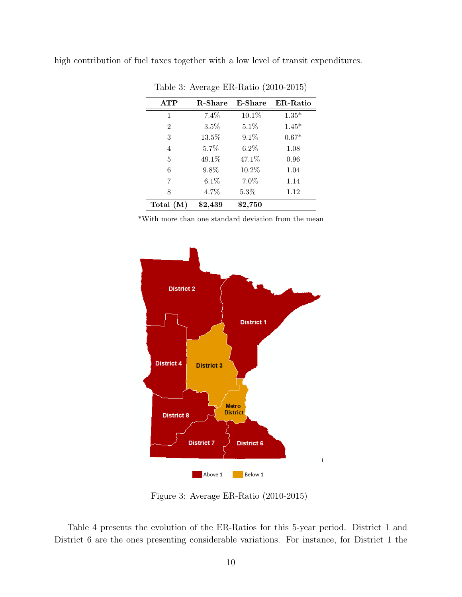|  |  |  |  |  | high contribution of fuel taxes together with a low level of transit expenditures. |
|--|--|--|--|--|------------------------------------------------------------------------------------|
|  |  |  |  |  |                                                                                    |

| <b>ATP</b>  | <b>R-Share</b> | <b>E-Share</b> | <b>ER-Ratio</b> |
|-------------|----------------|----------------|-----------------|
| 1           | 7.4%           | 10.1%          | $1.35*$         |
| 2           | $3.5\%$        | $5.1\%$        | $1.45*$         |
| 3           | 13.5%          | 9.1%           | $0.67*$         |
| 4           | $5.7\%$        | $6.2\%$        | 1.08            |
| 5           | 49.1%          | 47.1\%         | 0.96            |
| 6           | 9.8%           | 10.2%          | 1.04            |
| 7           | 6.1%           | 7.0%           | 1.14            |
| 8           | 4.7%           | $5.3\%$        | 1.12            |
| Total $(M)$ | \$2,439        | \$2,750        |                 |

Table 3: Average ER-Ratio (2010-2015)

\*With more than one standard deviation from the mean



Figure 3: Average ER-Ratio (2010-2015)

Table 4 presents the evolution of the ER-Ratios for this 5-year period. District 1 and District 6 are the ones presenting considerable variations. For instance, for District 1 the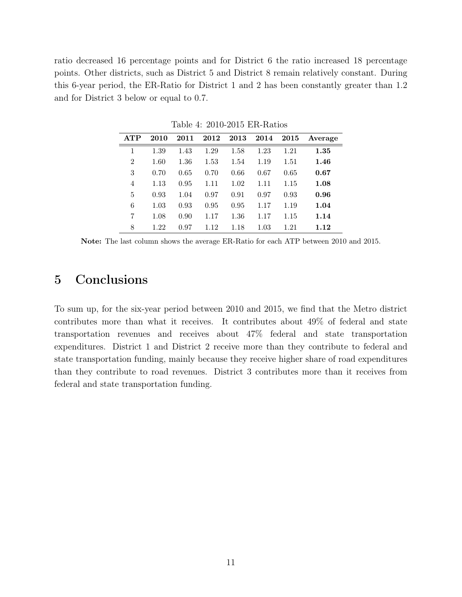ratio decreased 16 percentage points and for District 6 the ratio increased 18 percentage points. Other districts, such as District 5 and District 8 remain relatively constant. During this 6-year period, the ER-Ratio for District 1 and 2 has been constantly greater than 1.2 and for District 3 below or equal to 0.7.

| <b>ATP</b>     | 2010 | 2011 | 2012 | 2013 | 2014 | 2015 | Average |
|----------------|------|------|------|------|------|------|---------|
| 1              | 1.39 | 1.43 | 1.29 | 1.58 | 1.23 | 1.21 | 1.35    |
| $\overline{2}$ | 1.60 | 1.36 | 1.53 | 1.54 | 1.19 | 1.51 | 1.46    |
| 3              | 0.70 | 0.65 | 0.70 | 0.66 | 0.67 | 0.65 | 0.67    |
| 4              | 1.13 | 0.95 | 1.11 | 1.02 | 1.11 | 1.15 | 1.08    |
| 5              | 0.93 | 1.04 | 0.97 | 0.91 | 0.97 | 0.93 | 0.96    |
| 6              | 1.03 | 0.93 | 0.95 | 0.95 | 1.17 | 1.19 | 1.04    |
| 7              | 1.08 | 0.90 | 1.17 | 1.36 | 1.17 | 1.15 | 1.14    |
| 8              | 1.22 | 0.97 | 1.12 | 1.18 | 1.03 | 1.21 | 1.12    |

Table 4: 2010-2015 ER-Ratios

Note: The last column shows the average ER-Ratio for each ATP between 2010 and 2015.

#### 5 Conclusions

To sum up, for the six-year period between 2010 and 2015, we find that the Metro district contributes more than what it receives. It contributes about 49% of federal and state transportation revenues and receives about 47% federal and state transportation expenditures. District 1 and District 2 receive more than they contribute to federal and state transportation funding, mainly because they receive higher share of road expenditures than they contribute to road revenues. District 3 contributes more than it receives from federal and state transportation funding.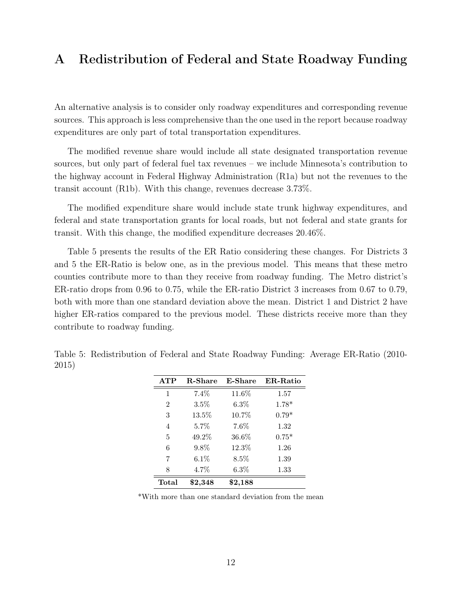#### A Redistribution of Federal and State Roadway Funding

An alternative analysis is to consider only roadway expenditures and corresponding revenue sources. This approach is less comprehensive than the one used in the report because roadway expenditures are only part of total transportation expenditures.

The modified revenue share would include all state designated transportation revenue sources, but only part of federal fuel tax revenues – we include Minnesota's contribution to the highway account in Federal Highway Administration (R1a) but not the revenues to the transit account (R1b). With this change, revenues decrease 3.73%.

The modified expenditure share would include state trunk highway expenditures, and federal and state transportation grants for local roads, but not federal and state grants for transit. With this change, the modified expenditure decreases 20.46%.

Table 5 presents the results of the ER Ratio considering these changes. For Districts 3 and 5 the ER-Ratio is below one, as in the previous model. This means that these metro counties contribute more to than they receive from roadway funding. The Metro district's ER-ratio drops from 0.96 to 0.75, while the ER-ratio District 3 increases from 0.67 to 0.79, both with more than one standard deviation above the mean. District 1 and District 2 have higher ER-ratios compared to the previous model. These districts receive more than they contribute to roadway funding.

| <b>ATP</b> | <b>R-Share</b> | <b>E-Share</b> | <b>ER-Ratio</b> |
|------------|----------------|----------------|-----------------|
| 1          | 7.4%           | 11.6%          | 1.57            |
| 2          | $3.5\%$        | $6.3\%$        | $1.78*$         |
| 3          | 13.5%          | 10.7%          | $0.79*$         |
| 4          | 5.7%           | 7.6%           | 1.32            |
| 5          | 49.2%          | 36.6%          | $0.75*$         |
| 6          | 9.8%           | 12.3%          | 1.26            |
| 7          | $6.1\%$        | 8.5%           | 1.39            |
| 8          | 4.7%           | $6.3\%$        | 1.33            |
| Total      | $\$2,348$      | \$2,188        |                 |

Table 5: Redistribution of Federal and State Roadway Funding: Average ER-Ratio (2010- 2015)

\*With more than one standard deviation from the mean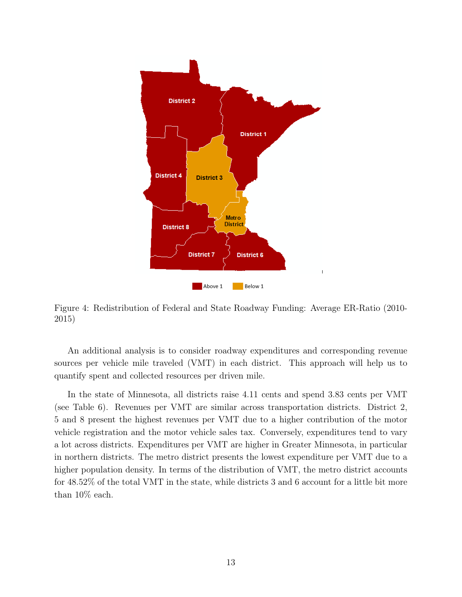

Figure 4: Redistribution of Federal and State Roadway Funding: Average ER-Ratio (2010- 2015)

An additional analysis is to consider roadway expenditures and corresponding revenue sources per vehicle mile traveled (VMT) in each district. This approach will help us to quantify spent and collected resources per driven mile.

In the state of Minnesota, all districts raise 4.11 cents and spend 3.83 cents per VMT (see Table 6). Revenues per VMT are similar across transportation districts. District 2, 5 and 8 present the highest revenues per VMT due to a higher contribution of the motor vehicle registration and the motor vehicle sales tax. Conversely, expenditures tend to vary a lot across districts. Expenditures per VMT are higher in Greater Minnesota, in particular in northern districts. The metro district presents the lowest expenditure per VMT due to a higher population density. In terms of the distribution of VMT, the metro district accounts for 48.52% of the total VMT in the state, while districts 3 and 6 account for a little bit more than 10% each.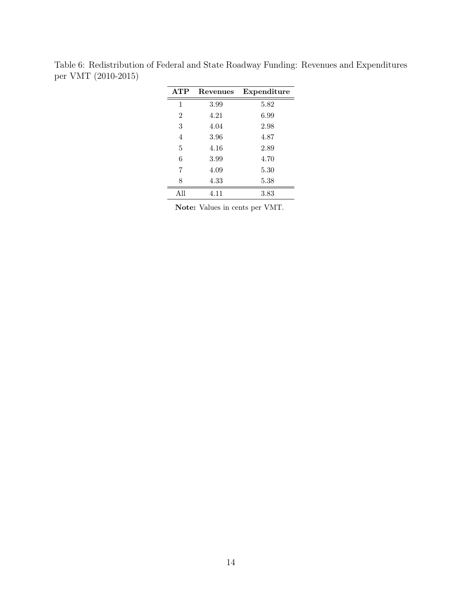| Revenues | Expenditure |
|----------|-------------|
| 3.99     | 5.82        |
| 4.21     | 6.99        |
| 4.04     | 2.98        |
| 3.96     | 4.87        |
| 4.16     | 2.89        |
| 3.99     | 4.70        |
| 4.09     | 5.30        |
| 4.33     | 5.38        |
| 4.11     | 3.83        |
|          |             |

Table 6: Redistribution of Federal and State Roadway Funding: Revenues and Expenditures per VMT (2010-2015)

Note: Values in cents per VMT.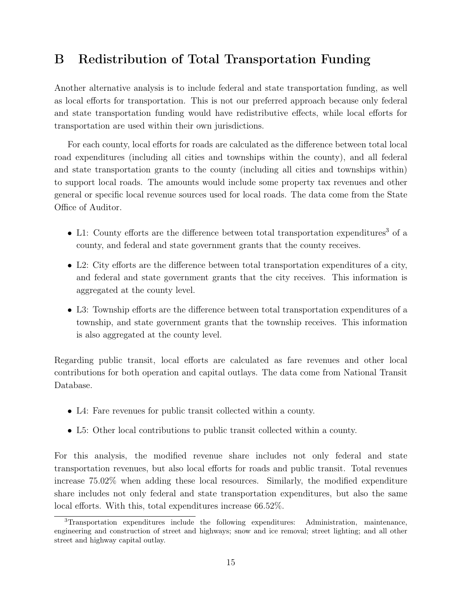# B Redistribution of Total Transportation Funding

Another alternative analysis is to include federal and state transportation funding, as well as local efforts for transportation. This is not our preferred approach because only federal and state transportation funding would have redistributive effects, while local efforts for transportation are used within their own jurisdictions.

For each county, local efforts for roads are calculated as the difference between total local road expenditures (including all cities and townships within the county), and all federal and state transportation grants to the county (including all cities and townships within) to support local roads. The amounts would include some property tax revenues and other general or specific local revenue sources used for local roads. The data come from the State Office of Auditor.

- L1: County efforts are the difference between total transportation expenditures<sup>3</sup> of a county, and federal and state government grants that the county receives.
- L2: City efforts are the difference between total transportation expenditures of a city, and federal and state government grants that the city receives. This information is aggregated at the county level.
- *•* L3: Township efforts are the difference between total transportation expenditures of a township, and state government grants that the township receives. This information is also aggregated at the county level.

Regarding public transit, local efforts are calculated as fare revenues and other local contributions for both operation and capital outlays. The data come from National Transit Database.

- *•* L4: Fare revenues for public transit collected within a county.
- *•* L5: Other local contributions to public transit collected within a county.

For this analysis, the modified revenue share includes not only federal and state transportation revenues, but also local efforts for roads and public transit. Total revenues increase 75.02% when adding these local resources. Similarly, the modified expenditure share includes not only federal and state transportation expenditures, but also the same local efforts. With this, total expenditures increase 66.52%.

<sup>3</sup>Transportation expenditures include the following expenditures: Administration, maintenance, engineering and construction of street and highways; snow and ice removal; street lighting; and all other street and highway capital outlay.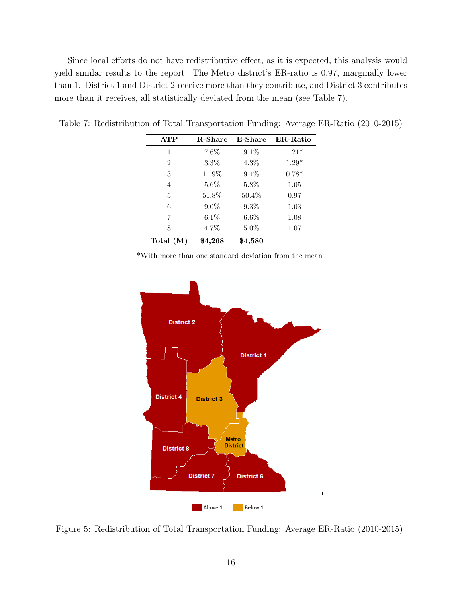Since local efforts do not have redistributive effect, as it is expected, this analysis would yield similar results to the report. The Metro district's ER-ratio is 0.97, marginally lower than 1. District 1 and District 2 receive more than they contribute, and District 3 contributes more than it receives, all statistically deviated from the mean (see Table 7).

| ATP            | <b>R-Share</b> | <b>E-Share</b> | <b>ER-Ratio</b> |
|----------------|----------------|----------------|-----------------|
| 1              | 7.6%           | 9.1%           | $1.21*$         |
| $\overline{2}$ | 3.3%           | $4.3\%$        | $1.29*$         |
| 3              | 11.9%          | 9.4%           | $0.78*$         |
| $\overline{4}$ | $5.6\%$        | 5.8%           | 1.05            |
| 5              | 51.8%          | 50.4%          | 0.97            |
| 6              | 9.0%           | 9.3%           | 1.03            |
| 7              | $6.1\%$        | $6.6\%$        | 1.08            |
| 8              | 4.7%           | $5.0\%$        | 1.07            |
| Total $(M)$    | \$4,268        | \$4,580        |                 |

Table 7: Redistribution of Total Transportation Funding: Average ER-Ratio (2010-2015)

\*With more than one standard deviation from the mean



Figure 5: Redistribution of Total Transportation Funding: Average ER-Ratio (2010-2015)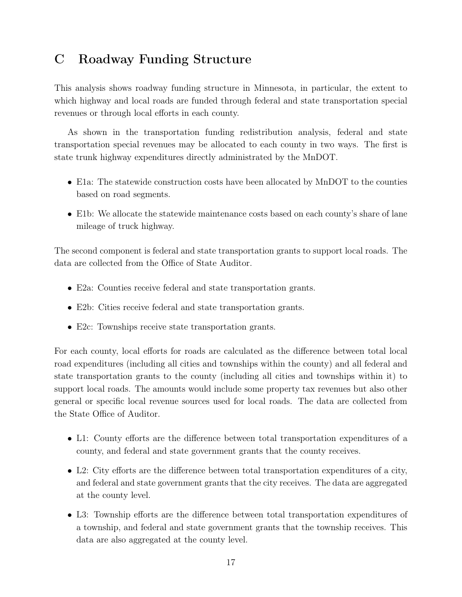## C Roadway Funding Structure

This analysis shows roadway funding structure in Minnesota, in particular, the extent to which highway and local roads are funded through federal and state transportation special revenues or through local efforts in each county.

As shown in the transportation funding redistribution analysis, federal and state transportation special revenues may be allocated to each county in two ways. The first is state trunk highway expenditures directly administrated by the MnDOT.

- E1a: The statewide construction costs have been allocated by MnDOT to the counties based on road segments.
- E1b: We allocate the statewide maintenance costs based on each county's share of lane mileage of truck highway.

The second component is federal and state transportation grants to support local roads. The data are collected from the Office of State Auditor.

- *•* E2a: Counties receive federal and state transportation grants.
- *•* E2b: Cities receive federal and state transportation grants.
- E2c: Townships receive state transportation grants.

For each county, local efforts for roads are calculated as the difference between total local road expenditures (including all cities and townships within the county) and all federal and state transportation grants to the county (including all cities and townships within it) to support local roads. The amounts would include some property tax revenues but also other general or specific local revenue sources used for local roads. The data are collected from the State Office of Auditor.

- L1: County efforts are the difference between total transportation expenditures of a county, and federal and state government grants that the county receives.
- L2: City efforts are the difference between total transportation expenditures of a city, and federal and state government grants that the city receives. The data are aggregated at the county level.
- *•* L3: Township efforts are the difference between total transportation expenditures of a township, and federal and state government grants that the township receives. This data are also aggregated at the county level.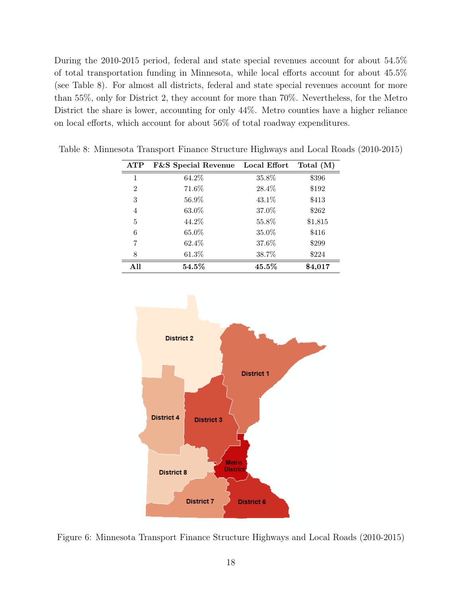During the 2010-2015 period, federal and state special revenues account for about 54.5% of total transportation funding in Minnesota, while local efforts account for about 45.5% (see Table 8). For almost all districts, federal and state special revenues account for more than 55%, only for District 2, they account for more than 70%. Nevertheless, for the Metro District the share is lower, accounting for only 44%. Metro counties have a higher reliance on local efforts, which account for about 56% of total roadway expenditures.

| ATP            | <b>F&amp;S</b> Special Revenue | Local Effort | Total $(M)$ |
|----------------|--------------------------------|--------------|-------------|
| 1              | 64.2%                          | 35.8%        | \$396       |
| $\overline{2}$ | 71.6%                          | 28.4%        | \$192       |
| 3              | 56.9%                          | 43.1%        | \$413       |
| 4              | 63.0%                          | 37.0%        | \$262       |
| 5              | 44.2%                          | 55.8%        | \$1,815     |
| 6              | 65.0%                          | 35.0%        | \$416       |
| 7              | 62.4%                          | 37.6%        | \$299       |
| 8              | 61.3%                          | 38.7%        | \$224       |
| All            | $54.5\%$                       | 45.5%        | \$4,017     |

Table 8: Minnesota Transport Finance Structure Highways and Local Roads (2010-2015)



Figure 6: Minnesota Transport Finance Structure Highways and Local Roads (2010-2015)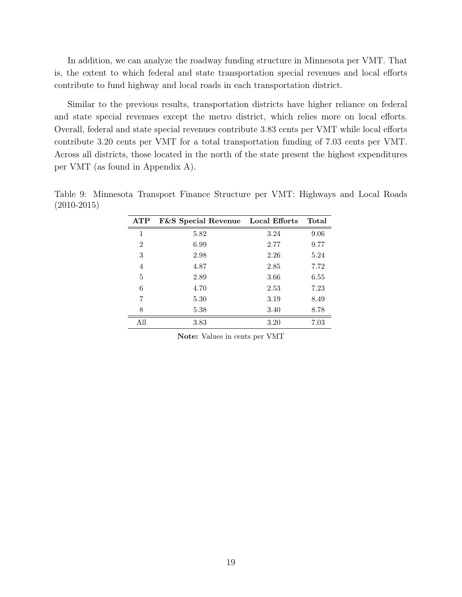In addition, we can analyze the roadway funding structure in Minnesota per VMT. That is, the extent to which federal and state transportation special revenues and local efforts contribute to fund highway and local roads in each transportation district.

Similar to the previous results, transportation districts have higher reliance on federal and state special revenues except the metro district, which relies more on local efforts. Overall, federal and state special revenues contribute 3.83 cents per VMT while local efforts contribute 3.20 cents per VMT for a total transportation funding of 7.03 cents per VMT. Across all districts, those located in the north of the state present the highest expenditures per VMT (as found in Appendix A).

| ATP            | <b>F&amp;S</b> Special Revenue Local Efforts |      | Total |
|----------------|----------------------------------------------|------|-------|
| 1              | 5.82                                         | 3.24 | 9.06  |
| $\overline{2}$ | 6.99                                         | 2.77 | 9.77  |
| 3              | 2.98                                         | 2.26 | 5.24  |
| 4              | 4.87                                         | 2.85 | 7.72  |
| 5              | 2.89                                         | 3.66 | 6.55  |
| 6              | 4.70                                         | 2.53 | 7.23  |
| 7              | 5.30                                         | 3.19 | 8.49  |
| 8              | 5.38                                         | 3.40 | 8.78  |
| All            | 3.83                                         | 3.20 | 7.03  |

Table 9: Minnesota Transport Finance Structure per VMT: Highways and Local Roads (2010-2015)

Note: Values in cents per VMT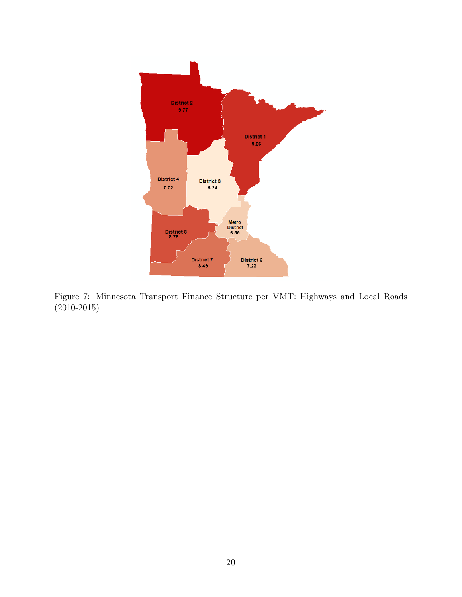

Figure 7: Minnesota Transport Finance Structure per VMT: Highways and Local Roads (2010-2015)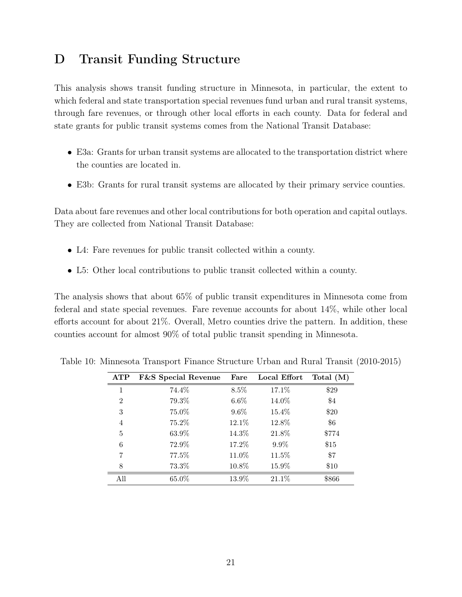### D Transit Funding Structure

This analysis shows transit funding structure in Minnesota, in particular, the extent to which federal and state transportation special revenues fund urban and rural transit systems, through fare revenues, or through other local efforts in each county. Data for federal and state grants for public transit systems comes from the National Transit Database:

- E3a: Grants for urban transit systems are allocated to the transportation district where the counties are located in.
- E3b: Grants for rural transit systems are allocated by their primary service counties.

Data about fare revenues and other local contributions for both operation and capital outlays. They are collected from National Transit Database:

- L4: Fare revenues for public transit collected within a county.
- *•* L5: Other local contributions to public transit collected within a county.

The analysis shows that about 65% of public transit expenditures in Minnesota come from federal and state special revenues. Fare revenue accounts for about 14%, while other local efforts account for about 21%. Overall, Metro counties drive the pattern. In addition, these counties account for almost 90% of total public transit spending in Minnesota.

| ATP            | <b>F&amp;S</b> Special Revenue | Fare    | Local Effort | Total $(M)$ |
|----------------|--------------------------------|---------|--------------|-------------|
| 1              | 74.4%                          | 8.5%    | 17.1%        | \$29        |
| $\overline{2}$ | 79.3%                          | $6.6\%$ | 14.0%        | $\$4$       |
| 3              | 75.0%                          | $9.6\%$ | 15.4%        | \$20        |
| $\overline{4}$ | 75.2%                          | 12.1%   | 12.8%        | \$6         |
| 5              | 63.9%                          | 14.3%   | 21.8%        | \$774       |
| 6              | 72.9%                          | 17.2%   | $9.9\%$      | \$15        |
| 7              | 77.5%                          | 11.0%   | $11.5\%$     | \$7         |
| 8              | 73.3%                          | 10.8%   | 15.9%        | \$10        |
| All            | 65.0%                          | 13.9%   | 21.1%        | \$866       |

Table 10: Minnesota Transport Finance Structure Urban and Rural Transit (2010-2015)